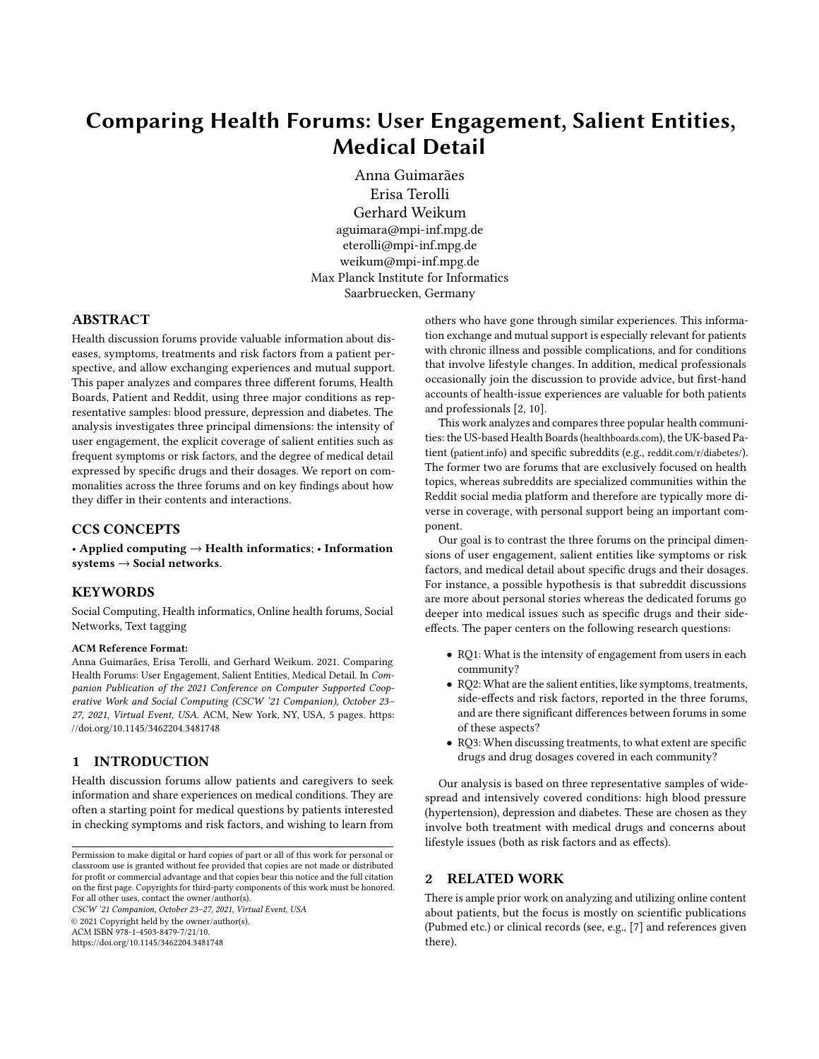# Comparing Health Forums: User Engagement, Salient Entities, Medical Detail

Anna Guimarães

Erisa Terolli Gerhard Weikum aguimara@mpi-inf.mpg.de eterolli@mpi-inf.mpg.de weikum@mpi-inf.mpg.de Max Planck Institute for Informatics Saarbruecken, Germany

## ABSTRACT

Health discussion forums provide valuable information about diseases, symptoms, treatments and risk factors from a patient perspective, and allow exchanging experiences and mutual support. This paper analyzes and compares three different forums, Health Boards, Patient and Reddit, using three major conditions as representative samples: blood pressure, depression and diabetes. The analysis investigates three principal dimensions: the intensity of user engagement, the explicit coverage of salient entities such as frequent symptoms or risk factors, and the degree of medical detail expressed by specific drugs and their dosages. We report on commonalities across the three forums and on key findings about how they differ in their contents and interactions.

### CCS CONCEPTS

• Applied computing  $\rightarrow$  Health informatics; • Information  $s$ ystems  $\rightarrow$  Social networks.

#### KEYWORDS

Social Computing, Health informatics, Online health forums, Social Networks, Text tagging

#### ACM Reference Format:

Anna Guimarães, Erisa Terolli, and Gerhard Weikum. 2021. Comparing Health Forums: User Engagement, Salient Entities, Medical Detail. In Companion Publication of the 2021 Conference on Computer Supported Cooperative Work and Social Computing (CSCW '21 Companion), October 23– 27, 2021, Virtual Event, USA. ACM, New York, NY, USA, [5](#page-4-0) pages. [https:](https://doi.org/10.1145/3462204.3481748) [//doi.org/10.1145/3462204.3481748](https://doi.org/10.1145/3462204.3481748)

#### 1 INTRODUCTION

Health discussion forums allow patients and caregivers to seek information and share experiences on medical conditions. They are often a starting point for medical questions by patients interested in checking symptoms and risk factors, and wishing to learn from

CSCW '21 Companion, October 23–27, 2021, Virtual Event, USA © 2021 Copyright held by the owner/author(s). ACM ISBN 978-1-4503-8479-7/21/10.

<https://doi.org/10.1145/3462204.3481748>

others who have gone through similar experiences. This information exchange and mutual support is especially relevant for patients with chronic illness and possible complications, and for conditions that involve lifestyle changes. In addition, medical professionals occasionally join the discussion to provide advice, but first-hand accounts of health-issue experiences are valuable for both patients and professionals [\[2,](#page-3-0) [10\]](#page-4-1).

This work analyzes and compares three popular health communities: the US-based Health Boards (<healthboards.com>), the UK-based Patient (<patient.info>) and specific subreddits (e.g., <reddit.com/r/diabetes/>). The former two are forums that are exclusively focused on health topics, whereas subreddits are specialized communities within the Reddit social media platform and therefore are typically more diverse in coverage, with personal support being an important component.

Our goal is to contrast the three forums on the principal dimensions of user engagement, salient entities like symptoms or risk factors, and medical detail about specific drugs and their dosages. For instance, a possible hypothesis is that subreddit discussions are more about personal stories whereas the dedicated forums go deeper into medical issues such as specific drugs and their sideeffects. The paper centers on the following research questions:

- RQ1: What is the intensity of engagement from users in each community?
- RQ2: What are the salient entities, like symptoms, treatments, side-effects and risk factors, reported in the three forums, and are there significant differences between forums in some of these aspects?
- RQ3: When discussing treatments, to what extent are specific drugs and drug dosages covered in each community?

Our analysis is based on three representative samples of widespread and intensively covered conditions: high blood pressure (hypertension), depression and diabetes. These are chosen as they involve both treatment with medical drugs and concerns about lifestyle issues (both as risk factors and as effects).

#### 2 RELATED WORK

There is ample prior work on analyzing and utilizing online content about patients, but the focus is mostly on scientific publications (Pubmed etc.) or clinical records (see, e.g., [\[7\]](#page-4-2) and references given there).

Permission to make digital or hard copies of part or all of this work for personal or classroom use is granted without fee provided that copies are not made or distributed for profit or commercial advantage and that copies bear this notice and the full citation on the first page. Copyrights for third-party components of this work must be honored. For all other uses, contact the owner/author(s).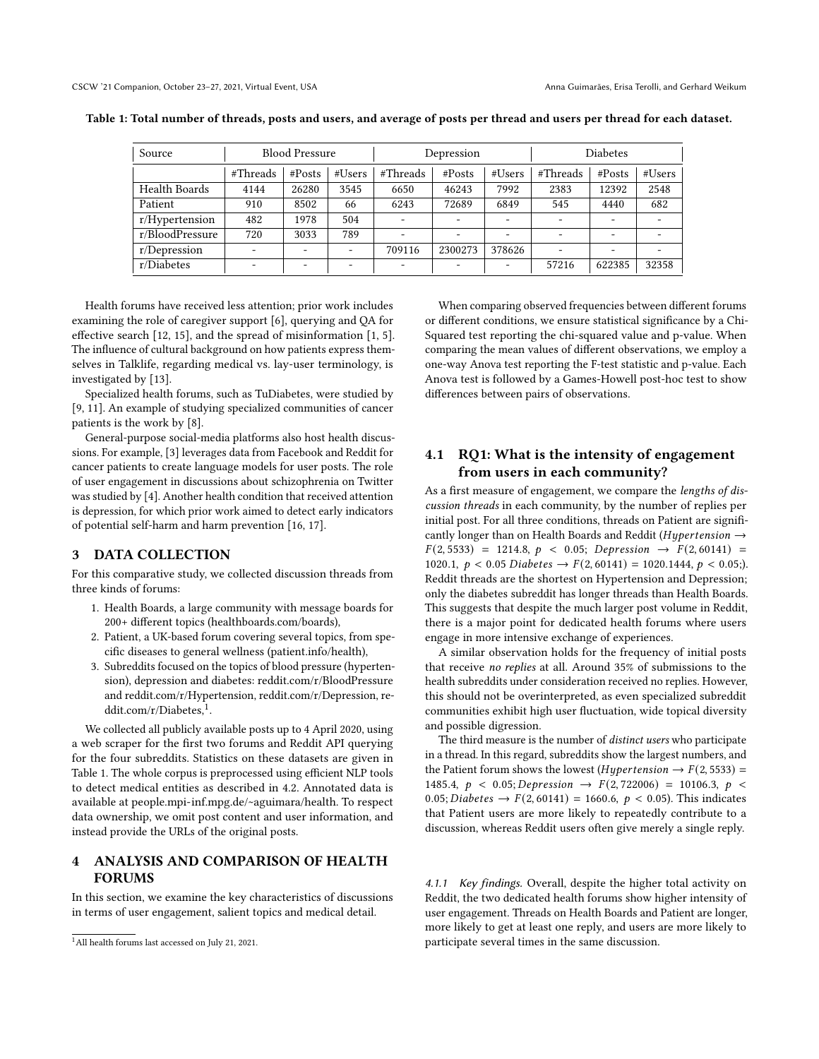| Source               | <b>Blood Pressure</b>    |                          | Depression |                          |         | <b>Diabetes</b> |          |        |                          |
|----------------------|--------------------------|--------------------------|------------|--------------------------|---------|-----------------|----------|--------|--------------------------|
|                      | #Threads                 | # $Posts$                | #Users     | #Threads                 | #Posts  | #Users          | #Threads | #Posts | #Users                   |
| <b>Health Boards</b> | 4144                     | 26280                    | 3545       | 6650                     | 46243   | 7992            | 2383     | 12392  | 2548                     |
| Patient              | 910                      | 8502                     | 66         | 6243                     | 72689   | 6849            | 545      | 4440   | 682                      |
| $r/H$ ypertension    | 482                      | 1978                     | 504        | $\overline{\phantom{a}}$ |         |                 |          | ۰      | $\overline{\phantom{0}}$ |
| r/BloodPressure      | 720                      | 3033                     | 789        | ۰.                       |         |                 |          |        | $\overline{\phantom{0}}$ |
| $r/D$ epression      | $\overline{\phantom{a}}$ | $\overline{\phantom{0}}$ |            | 709116                   | 2300273 | 378626          |          |        |                          |
| r/Diabetes           | $\overline{\phantom{0}}$ | $\overline{\phantom{0}}$ | ۰          | $\overline{\phantom{a}}$ |         |                 | 57216    | 622385 | 32358                    |

<span id="page-1-1"></span>Table 1: Total number of threads, posts and users, and average of posts per thread and users per thread for each dataset.

Health forums have received less attention; prior work includes examining the role of caregiver support [\[6\]](#page-4-3), querying and QA for effective search [\[12,](#page-4-4) [15\]](#page-4-5), and the spread of misinformation [\[1,](#page-3-1) [5\]](#page-3-2). The influence of cultural background on how patients express themselves in Talklife, regarding medical vs. lay-user terminology, is investigated by [\[13\]](#page-4-6).

Specialized health forums, such as TuDiabetes, were studied by [\[9,](#page-4-7) [11\]](#page-4-8). An example of studying specialized communities of cancer patients is the work by [\[8\]](#page-4-9).

General-purpose social-media platforms also host health discussions. For example, [\[3\]](#page-3-3) leverages data from Facebook and Reddit for cancer patients to create language models for user posts. The role of user engagement in discussions about schizophrenia on Twitter was studied by [\[4\]](#page-3-4). Another health condition that received attention is depression, for which prior work aimed to detect early indicators of potential self-harm and harm prevention [\[16,](#page-4-10) [17\]](#page-4-11).

## 3 DATA COLLECTION

For this comparative study, we collected discussion threads from three kinds of forums:

- 1. Health Boards, a large community with message boards for 200+ different topics [\(healthboards.com/boards\)](healthboards.com/boards),
- 2. Patient, a UK-based forum covering several topics, from specific diseases to general wellness [\(patient.info/health\)](patient.info/health),
- 3. Subreddits focused on the topics of blood pressure (hypertension), depression and diabetes:<reddit.com/r/BloodPressure> and [reddit.com/r/Hypertension,](reddit.com/r/Hypertension) [reddit.com/r/Depression,](reddit.com/r/Depression) [re](re- ddit.com/r/Diabetes)[ddit.com/r/Diabetes,](re- ddit.com/r/Diabetes)<sup>[1](#page-1-0)</sup>.

We collected all publicly available posts up to 4 April 2020, using a web scraper for the first two forums and Reddit API querying for the four subreddits. Statistics on these datasets are given in Table [1.](#page-1-1) The whole corpus is preprocessed using efficient NLP tools to detect medical entities as described in [4.2.](#page-2-0) Annotated data is available at [people.mpi-inf.mpg.de/~aguimara/health.](people.mpi-inf.mpg.de/~aguimara/health) To respect data ownership, we omit post content and user information, and instead provide the URLs of the original posts.

### 4 ANALYSIS AND COMPARISON OF HEALTH FORUMS

In this section, we examine the key characteristics of discussions in terms of user engagement, salient topics and medical detail.

When comparing observed frequencies between different forums or different conditions, we ensure statistical significance by a Chi-Squared test reporting the chi-squared value and p-value. When comparing the mean values of different observations, we employ a one-way Anova test reporting the F-test statistic and p-value. Each Anova test is followed by a Games-Howell post-hoc test to show differences between pairs of observations.

## 4.1 RQ1: What is the intensity of engagement from users in each community?

As a first measure of engagement, we compare the lengths of discussion threads in each community, by the number of replies per initial post. For all three conditions, threads on Patient are significantly longer than on Health Boards and Reddit ( $Hypertension \rightarrow$  $F(2, 5533) = 1214.8, p < 0.05; Depression \rightarrow F(2, 60141) =$ 1020.1,  $p < 0.05$  Diabetes  $\rightarrow F(2, 60141) = 1020.1444$ ,  $p < 0.05$ ;). Reddit threads are the shortest on Hypertension and Depression; only the diabetes subreddit has longer threads than Health Boards. This suggests that despite the much larger post volume in Reddit, there is a major point for dedicated health forums where users engage in more intensive exchange of experiences.

A similar observation holds for the frequency of initial posts that receive no replies at all. Around 35% of submissions to the health subreddits under consideration received no replies. However, this should not be overinterpreted, as even specialized subreddit communities exhibit high user fluctuation, wide topical diversity and possible digression.

The third measure is the number of *distinct users* who participate in a thread. In this regard, subreddits show the largest numbers, and the Patient forum shows the lowest (*Hypertension*  $\rightarrow$  *F*(2, 5533) = 1485.4,  $p \lt 0.05$ ; Depression  $\rightarrow F(2, 722006) = 10106.3, p \lt 0.05$ 0.05; *Diabetes*  $\rightarrow$   $F(2, 60141) = 1660.6, p < 0.05$ . This indicates that Patient users are more likely to repeatedly contribute to a discussion, whereas Reddit users often give merely a single reply.

4.1.1 Key findings. Overall, despite the higher total activity on Reddit, the two dedicated health forums show higher intensity of user engagement. Threads on Health Boards and Patient are longer, more likely to get at least one reply, and users are more likely to participate several times in the same discussion.

<span id="page-1-0"></span><sup>1</sup>All health forums last accessed on July 21, 2021.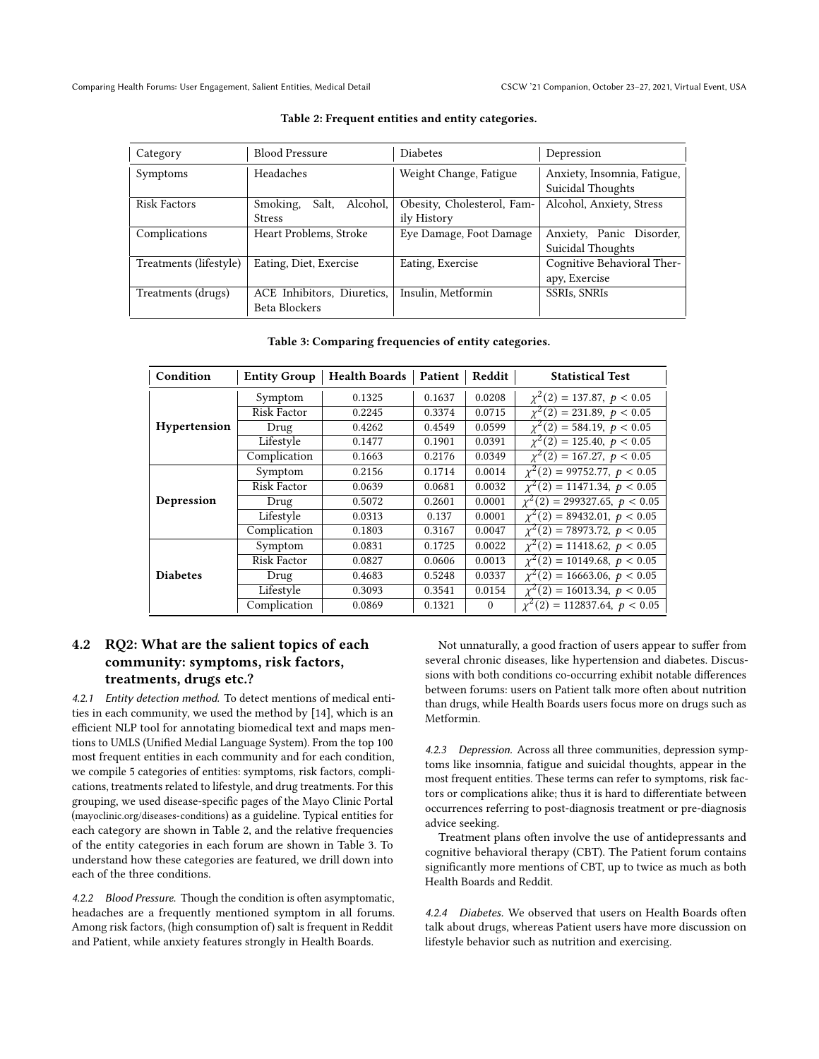<span id="page-2-1"></span>

| Category               | <b>Blood Pressure</b>         | <b>Diabetes</b>            | Depression                                       |
|------------------------|-------------------------------|----------------------------|--------------------------------------------------|
| Symptoms               | Headaches                     | Weight Change, Fatigue     | Anxiety, Insomnia, Fatigue,<br>Suicidal Thoughts |
| <b>Risk Factors</b>    | Alcohol,<br>Smoking,<br>Salt, | Obesity, Cholesterol, Fam- | Alcohol, Anxiety, Stress                         |
|                        | <b>Stress</b>                 | ily History                |                                                  |
| Complications          | Heart Problems, Stroke        | Eye Damage, Foot Damage    | Anxiety, Panic Disorder,                         |
|                        |                               |                            | Suicidal Thoughts                                |
| Treatments (lifestyle) | Eating, Diet, Exercise        | Eating, Exercise           | Cognitive Behavioral Ther-                       |
|                        |                               |                            | apy, Exercise                                    |
| Treatments (drugs)     | ACE Inhibitors, Diuretics,    | Insulin, Metformin         | <b>SSRIs, SNRIs</b>                              |
|                        | Beta Blockers                 |                            |                                                  |

#### Table 2: Frequent entities and entity categories.

#### Table 3: Comparing frequencies of entity categories.

<span id="page-2-2"></span>

| Condition           | <b>Entity Group</b> | <b>Health Boards</b> | Patient | Reddit   | <b>Statistical Test</b>                  |
|---------------------|---------------------|----------------------|---------|----------|------------------------------------------|
|                     | Symptom             | 0.1325               | 0.1637  | 0.0208   | $\chi^2(2) = 137.87, p < 0.05$           |
| <b>Hypertension</b> | Risk Factor         | 0.2245               | 0.3374  | 0.0715   | $\chi^2(2) = 231.89, p < 0.05$           |
|                     | Drug                | 0.4262               | 0.4549  | 0.0599   | $\chi^2(2) = 584.19, p < 0.05$           |
|                     | Lifestyle           | 0.1477               | 0.1901  | 0.0391   | $\chi^2(2) = 125.40, p < 0.05$           |
|                     | Complication        | 0.1663               | 0.2176  | 0.0349   | $\chi^2(2) = 167.27, p < 0.05$           |
| Depression          | Symptom             | 0.2156               | 0.1714  | 0.0014   | $\chi^2(2) = 99752.77, p < 0.05$         |
|                     | Risk Factor         | 0.0639               | 0.0681  | 0.0032   | $(2) = 11471.34, p < 0.05$               |
|                     | Drug                | 0.5072               | 0.2601  | 0.0001   | $\chi^2(2) = 299327.65, p < 0.05$        |
|                     | Lifestyle           | 0.0313               | 0.137   | 0.0001   | $\chi^2(2) = 89432.01, p < 0.05$         |
|                     | Complication        | 0.1803               | 0.3167  | 0.0047   | $\chi^2(2) = 78973.72, p < 0.05$         |
| <b>Diabetes</b>     | Symptom             | 0.0831               | 0.1725  | 0.0022   | $\chi^2(2) = 11418.62, p < 0.05$         |
|                     | <b>Risk Factor</b>  | 0.0827               | 0.0606  | 0.0013   | $\sqrt{\chi^2(2)} = 10149.68, p < 0.05$  |
|                     | Drug                | 0.4683               | 0.5248  | 0.0337   | $(2) = 16663.06, p < 0.05$<br>$\gamma^2$ |
|                     | Lifestyle           | 0.3093               | 0.3541  | 0.0154   | $\chi^2(2) = 16013.34, p < 0.05$         |
|                     | Complication        | 0.0869               | 0.1321  | $\Omega$ | $\chi^2(2) = 112837.64, p < 0.05$        |

# <span id="page-2-0"></span>4.2 RQ2: What are the salient topics of each community: symptoms, risk factors, treatments, drugs etc.?

4.2.1 Entity detection method. To detect mentions of medical entities in each community, we used the method by [\[14\]](#page-4-12), which is an efficient NLP tool for annotating biomedical text and maps mentions to UMLS (Unified Medial Language System). From the top 100 most frequent entities in each community and for each condition, we compile 5 categories of entities: symptoms, risk factors, complications, treatments related to lifestyle, and drug treatments. For this grouping, we used disease-specific pages of the Mayo Clinic Portal (<mayoclinic.org/diseases-conditions>) as a guideline. Typical entities for each category are shown in Table [2,](#page-2-1) and the relative frequencies of the entity categories in each forum are shown in Table [3.](#page-2-2) To understand how these categories are featured, we drill down into each of the three conditions.

4.2.2 Blood Pressure. Though the condition is often asymptomatic, headaches are a frequently mentioned symptom in all forums. Among risk factors, (high consumption of) salt is frequent in Reddit and Patient, while anxiety features strongly in Health Boards.

Not unnaturally, a good fraction of users appear to suffer from several chronic diseases, like hypertension and diabetes. Discussions with both conditions co-occurring exhibit notable differences between forums: users on Patient talk more often about nutrition than drugs, while Health Boards users focus more on drugs such as Metformin.

4.2.3 Depression. Across all three communities, depression symptoms like insomnia, fatigue and suicidal thoughts, appear in the most frequent entities. These terms can refer to symptoms, risk factors or complications alike; thus it is hard to differentiate between occurrences referring to post-diagnosis treatment or pre-diagnosis advice seeking.

Treatment plans often involve the use of antidepressants and cognitive behavioral therapy (CBT). The Patient forum contains significantly more mentions of CBT, up to twice as much as both Health Boards and Reddit.

4.2.4 Diabetes. We observed that users on Health Boards often talk about drugs, whereas Patient users have more discussion on lifestyle behavior such as nutrition and exercising.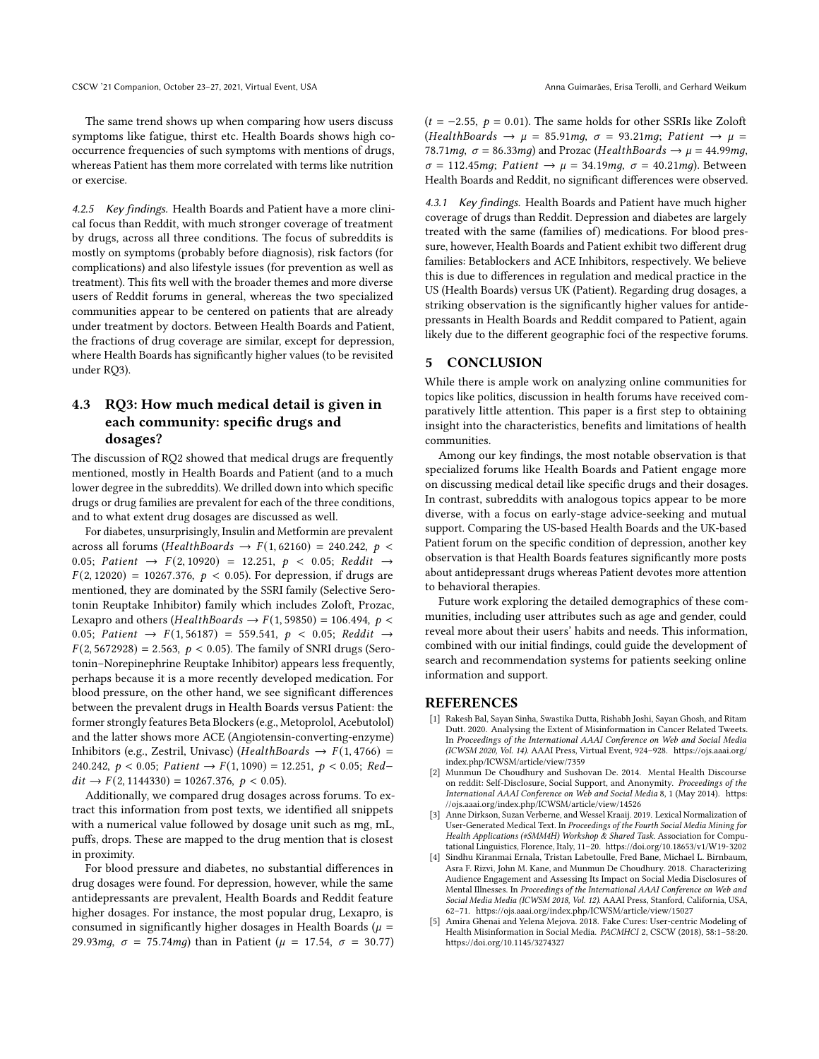The same trend shows up when comparing how users discuss symptoms like fatigue, thirst etc. Health Boards shows high cooccurrence frequencies of such symptoms with mentions of drugs, whereas Patient has them more correlated with terms like nutrition or exercise.

4.2.5 Key findings. Health Boards and Patient have a more clinical focus than Reddit, with much stronger coverage of treatment by drugs, across all three conditions. The focus of subreddits is mostly on symptoms (probably before diagnosis), risk factors (for complications) and also lifestyle issues (for prevention as well as treatment). This fits well with the broader themes and more diverse users of Reddit forums in general, whereas the two specialized communities appear to be centered on patients that are already under treatment by doctors. Between Health Boards and Patient, the fractions of drug coverage are similar, except for depression, where Health Boards has significantly higher values (to be revisited under RQ3).

# 4.3 RQ3: How much medical detail is given in each community: specific drugs and dosages?

The discussion of RQ2 showed that medical drugs are frequently mentioned, mostly in Health Boards and Patient (and to a much lower degree in the subreddits). We drilled down into which specific drugs or drug families are prevalent for each of the three conditions, and to what extent drug dosages are discussed as well.

For diabetes, unsurprisingly, Insulin and Metformin are prevalent across all forums (HealthBoards  $\rightarrow$  F(1,62160) = 240.242, p < 0.05; Patient  $\rightarrow$  F(2, 10920) = 12.251, p < 0.05; Reddit  $\rightarrow$  $F(2, 12020) = 10267.376, p < 0.05$ . For depression, if drugs are mentioned, they are dominated by the SSRI family (Selective Serotonin Reuptake Inhibitor) family which includes Zoloft, Prozac, Lexapro and others (*HealthBoards*  $\rightarrow$   $F(1, 59850) = 106.494$ ,  $p$  < 0.05; Patient  $\rightarrow$  F(1,56187) = 559.541,  $p \lt 0.05$ ; Reddit  $\rightarrow$  $F(2, 5672928) = 2.563$ ,  $p < 0.05$ ). The family of SNRI drugs (Serotonin–Norepinephrine Reuptake Inhibitor) appears less frequently, perhaps because it is a more recently developed medication. For blood pressure, on the other hand, we see significant differences between the prevalent drugs in Health Boards versus Patient: the former strongly features Beta Blockers (e.g., Metoprolol, Acebutolol) and the latter shows more ACE (Angiotensin-converting-enzyme) Inhibitors (e.g., Zestril, Univasc) (HealthBoards  $\rightarrow$  F(1,4766) = 240.242,  $p < 0.05$ ; *Patient*  $\rightarrow F(1, 1090) = 12.251$ ,  $p < 0.05$ ; *Red* $dit \rightarrow F(2, 1144330) = 10267.376, p < 0.05).$ 

Additionally, we compared drug dosages across forums. To extract this information from post texts, we identified all snippets with a numerical value followed by dosage unit such as mg, mL, puffs, drops. These are mapped to the drug mention that is closest in proximity.

For blood pressure and diabetes, no substantial differences in drug dosages were found. For depression, however, while the same antidepressants are prevalent, Health Boards and Reddit feature higher dosages. For instance, the most popular drug, Lexapro, is consumed in significantly higher dosages in Health Boards ( $\mu$  = 29.93 $mg$ ,  $\sigma = 75.74mg$ ) than in Patient ( $\mu = 17.54$ ,  $\sigma = 30.77$ )  $(t = -2.55, p = 0.01)$ . The same holds for other SSRIs like Zoloft (HealthBoards  $\rightarrow \mu = 85.91$ mg,  $\sigma = 93.21$ mg; Patient  $\rightarrow \mu =$ 78.71mq,  $\sigma = 86.33$ mq) and Prozac (HealthBoards  $\rightarrow \mu = 44.99$ mq,  $\sigma = 112.45$ mq; Patient  $\rightarrow \mu = 34.19$ mq,  $\sigma = 40.21$ mq). Between Health Boards and Reddit, no significant differences were observed.

4.3.1 Key findings. Health Boards and Patient have much higher coverage of drugs than Reddit. Depression and diabetes are largely treated with the same (families of) medications. For blood pressure, however, Health Boards and Patient exhibit two different drug families: Betablockers and ACE Inhibitors, respectively. We believe this is due to differences in regulation and medical practice in the US (Health Boards) versus UK (Patient). Regarding drug dosages, a striking observation is the significantly higher values for antidepressants in Health Boards and Reddit compared to Patient, again likely due to the different geographic foci of the respective forums.

#### 5 CONCLUSION

While there is ample work on analyzing online communities for topics like politics, discussion in health forums have received comparatively little attention. This paper is a first step to obtaining insight into the characteristics, benefits and limitations of health communities.

Among our key findings, the most notable observation is that specialized forums like Health Boards and Patient engage more on discussing medical detail like specific drugs and their dosages. In contrast, subreddits with analogous topics appear to be more diverse, with a focus on early-stage advice-seeking and mutual support. Comparing the US-based Health Boards and the UK-based Patient forum on the specific condition of depression, another key observation is that Health Boards features significantly more posts about antidepressant drugs whereas Patient devotes more attention to behavioral therapies.

Future work exploring the detailed demographics of these communities, including user attributes such as age and gender, could reveal more about their users' habits and needs. This information, combined with our initial findings, could guide the development of search and recommendation systems for patients seeking online information and support.

#### REFERENCES

- <span id="page-3-1"></span>[1] Rakesh Bal, Sayan Sinha, Swastika Dutta, Rishabh Joshi, Sayan Ghosh, and Ritam Dutt. 2020. Analysing the Extent of Misinformation in Cancer Related Tweets. In Proceedings of the International AAAI Conference on Web and Social Media (ICWSM 2020, Vol. 14). AAAI Press, Virtual Event, 924–928. [https://ojs.aaai.org/](https://ojs.aaai.org/index.php/ICWSM/article/view/7359) [index.php/ICWSM/article/view/7359](https://ojs.aaai.org/index.php/ICWSM/article/view/7359)
- <span id="page-3-0"></span>[2] Munmun De Choudhury and Sushovan De. 2014. Mental Health Discourse on reddit: Self-Disclosure, Social Support, and Anonymity. Proceedings of the International AAAI Conference on Web and Social Media 8, 1 (May 2014). [https:](https://ojs.aaai.org/index.php/ICWSM/article/view/14526) [//ojs.aaai.org/index.php/ICWSM/article/view/14526](https://ojs.aaai.org/index.php/ICWSM/article/view/14526)
- <span id="page-3-3"></span>Anne Dirkson, Suzan Verberne, and Wessel Kraaij. 2019. Lexical Normalization of User-Generated Medical Text. In Proceedings of the Fourth Social Media Mining for Health Applications (#SMM4H) Workshop & Shared Task. Association for Computational Linguistics, Florence, Italy, 11–20.<https://doi.org/10.18653/v1/W19-3202>
- <span id="page-3-4"></span>[4] Sindhu Kiranmai Ernala, Tristan Labetoulle, Fred Bane, Michael L. Birnbaum, Asra F. Rizvi, John M. Kane, and Munmun De Choudhury. 2018. Characterizing Audience Engagement and Assessing Its Impact on Social Media Disclosures of Mental Illnesses. In Proceedings of the International AAAI Conference on Web and Social Media Media (ICWSM 2018, Vol. 12). AAAI Press, Stanford, California, USA, 62–71.<https://ojs.aaai.org/index.php/ICWSM/article/view/15027>
- <span id="page-3-2"></span>[5] Amira Ghenai and Yelena Mejova. 2018. Fake Cures: User-centric Modeling of Health Misinformation in Social Media. PACMHCI 2, CSCW (2018), 58:1–58:20. <https://doi.org/10.1145/3274327>